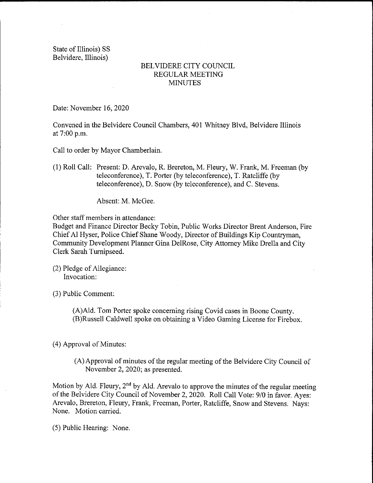State of Illinois) SS Belvidere, Illinois)

## BELVIDERE CITY COUNCIL REGULAR MEETING **MINUTES**

Date: November 16, 2020

Convened in the Belvidere Council Chambers, 401 Whitney Blvd, Belvidere Illinois at  $7:00$  p.m.

Call to order by Mayor Chamberlain.

1) Roll Call: Present: D. Arevalo, R. Brereton, M. Fleury, W. Frank, M. Freeman ( by teleconference), T. Porter ( by teleconference), T. Ratcliffe ( by teleconference), D. Snow( by teleconference), and C. Stevens.

Absent: M. McGee.

Other staff members in attendance:

Budget and Finance Director Becky Tobin, Public Works Director Brent Anderson, Fire Chief Al Hyser, Police Chief Shane Woody, Director of Buildings Kip Countryman, Community Development Planner Gina DelRose, City Attorney Mike Drella and City Clerk Sarah Turnipseed.

2) Pledge of Allegiance: Invocation:

3) Public Comment:

A)Ald. Tom Porter spoke concerning rising Covid cases in Boone County. B) Russell Caldwell spoke on obtaining <sup>a</sup> Video Gaming License for Firebox.

4) Approval of Minutes:

A) Approval of minutes of the regular meeting of the Belvidere City Council of November 2, 2020; as presented.

Motion by Ald. Fleury,  $2<sup>nd</sup>$  by Ald. Arevalo to approve the minutes of the regular meeting of the Belvidere City Council of November 2, 2020. Roll Call Vote: 9/0 in favor. Ayes: Arevalo, Brereton, Fleury, Frank, Freeman, Porter, Ratcliffe, Snow and Stevens. Nays: None. Motion carried.

5) Public Hearing: None.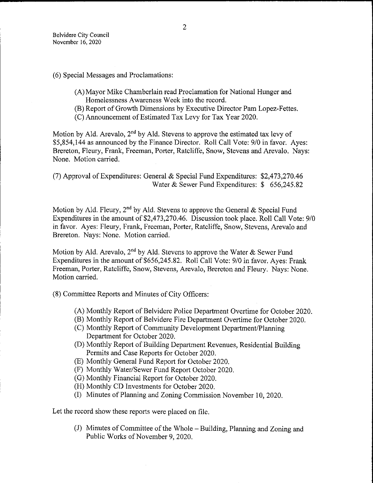6) Special Messages and Proclamations:

- A) Mayor Mike Chamberlain read Proclamation for National Hunger and Homelessness Awareness Week into the record.
- B) Report of Growth Dimensions by Executive Director Pam Lopez- Fettes.
- C) Announcement of Estimated Tax Levy for Tax Year 2020.

Motion by Ald. Arevalo,  $2<sup>nd</sup>$  by Ald. Stevens to approve the estimated tax levy of \$5,854,144 as announced by the Finance Director. Roll Call Vote: 9/0 in favor. Ayes: Brereton, Fleury, Frank, Freeman, Porter, Ratcliffe, Snow, Stevens and Arevalo. Nays: None. Motion carried.

(7) Approval of Expenditures: General  $&$  Special Fund Expenditures: \$2,473,270.46 Water & Sewer Fund Expenditures: \$ 656,245.82

Motion by Ald. Fleury,  $2^{nd}$  by Ald. Stevens to approve the General & Special Fund Expenditures in the amount of \$2,473, 270. 46. Discussion took place. Roll Call Vote: 9/0 in favor. Ayes: Fleury, Frank, Freeman, Porter, Ratcliffe, Snow, Stevens, Arevalo and Brereton. Nays: None. Motion carried.

Motion by Ald. Arevalo, 2<sup>nd</sup> by Ald. Stevens to approve the Water & Sewer Fund Expenditures in the amount of \$656, 245.82. Roll Call Vote: 9/0 in favor. Ayes: Frank Freeman, Porter, Ratcliffe, Snow, Stevens, Arevalo, Brereton and Fleury. Nays: None. Motion carried.

- 8) Committee Reports and Minutes of City Officers:
	- A) Monthly Report of Belvidere Police Department Overtime for October 2020.
	- B) Monthly Report of Belvidere Fire Department Overtime for October 2020.
	- C) Monthly Report of Community Development Department/ Planning Department for October 2020.
	- D) Monthly Report of Building Department Revenues, Residential Building Permits and Case Reports for October 2020.
	- E) Monthly General Fund Report for October 2020.
	- F) Monthly Water/ Sewer Fund Report October 2020.
	- G) Monthly Financial Report for October 2020.
	- H) Monthly CD Investments for October 2020.
	- I) Minutes of Planning and Zoning Commission November 10, 2020.

Let the record show these reports were placed on file.

J) Minutes of Committee of the Whole— Building, Planning and Zoning and Public Works of November 9, 2020.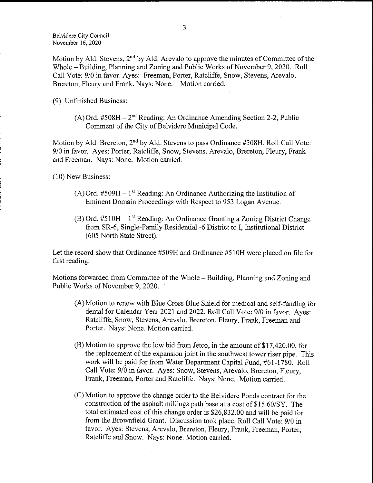Motion by Ald. Stevens,  $2<sup>nd</sup>$  by Ald. Arevalo to approve the minutes of Committee of the Whole— Building, Planning and Zoning and Public Works of November 9, 2020. Roll Call Vote: 9/0 in favor. Ayes: Freeman, Porter, Ratcliffe, Snow, Stevens, Arevalo, Brereton, Fleury and Frank. Nays: None. Motion carried.

- 9) Unfinished Business:
	- $(A)$  Ord. #508H 2<sup>nd</sup> Reading: An Ordinance Amending Section 2-2, Public Comment of the City of Belvidere Municipal Code.

Motion by Ald. Brereton,  $2<sup>nd</sup>$  by Ald. Stevens to pass Ordinance #508H. Roll Call Vote: 9/0 in favor. Ayes: Porter, Ratcliffe, Snow, Stevens, Arevalo, Brereton, Fleury, Frank and Freeman. Nays: None. Motion carried.

10) New Business:

- $(A)$  Ord. #509H 1<sup>st</sup> Reading: An Ordinance Authorizing the Institution of Eminent Domain Proceedings with Respect to 953 Logan Avenue.
- $(B)$  Ord. #510H  $-1<sup>st</sup>$  Reading: An Ordinance Granting a Zoning District Change from SR-6, Single-Family Residential -6 District to I, Institutional District 605 North State Street).

Let the record show that Ordinance #509H and Ordinance #510H were placed on file for first reading.

Motions forwarded from Committee of the Whole— Building, Planning and Zoning and Public Works of November 9, 2020.

- A) Motion to renew with Blue Cross Blue Shield for medical and self-funding for dental for Calendar Year 2021 and 2022. Roll Call Vote: 9/0 in favor. Ayes: Ratcliffe, Snow, Stevens, Arevalo, Brereton, Fleury, Frank, Freeman and Porter. Nays: None. Motion carried.
- $(B)$  Motion to approve the low bid from Jetco, in the amount of \$17,420.00, for the replacement of the expansion joint in the southwest tower riser pipe. This work will be paid for from Water Department Capital Fund, #61-1780. Roll Call Vote: 9/0 in favor. Ayes: Snow, Stevens, Arevalo, Brereton, Fleury, Frank, Freeman, Porter and Ratcliffe. Nays: None. Motion carried.
- C) Motion to approve the change order to the Belvidere Ponds contract for the construction of the asphalt millings path base at a cost of  $$15.60/SY$ . The total estimated cost of this change order is \$26,832.00 and will be paid for from the Brownfield Grant. Discussion took place. Roll Call Vote: 9/0 in favor. Ayes: Stevens, Arevalo, Brereton, Fleury, Frank, Freeman, Porter, Ratcliffe and Snow. Nays: None. Motion carried.